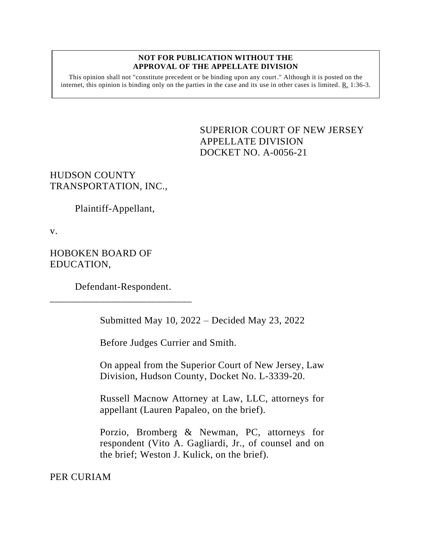## **NOT FOR PUBLICATION WITHOUT THE APPROVAL OF THE APPELLATE DIVISION**

This opinion shall not "constitute precedent or be binding upon any court." Although it is posted on the internet, this opinion is binding only on the parties in the case and its use in other cases is limited.  $R_1$  1:36-3.

> <span id="page-0-0"></span>SUPERIOR COURT OF NEW JERSEY APPELLATE DIVISION DOCKET NO. A-0056-21

HUDSON COUNTY TRANSPORTATION, INC.,

Plaintiff-Appellant,

v.

HOBOKEN BOARD OF EDUCATION,

Defendant-Respondent. \_\_\_\_\_\_\_\_\_\_\_\_\_\_\_\_\_\_\_\_\_\_\_\_\_\_\_\_

Submitted May 10, 2022 – Decided May 23, 2022

Before Judges Currier and Smith.

On appeal from the Superior Court of New Jersey, Law Division, Hudson County, Docket No. L-3339-20.

Russell Macnow Attorney at Law, LLC, attorneys for appellant (Lauren Papaleo, on the brief).

Porzio, Bromberg & Newman, PC, attorneys for respondent (Vito A. Gagliardi, Jr., of counsel and on the brief; Weston J. Kulick, on the brief).

PER CURIAM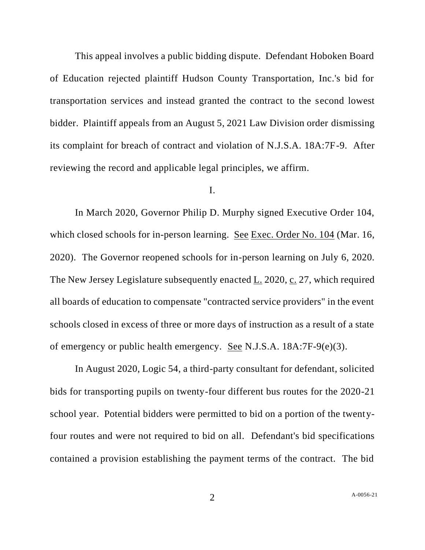This appeal involves a public bidding dispute. Defendant Hoboken Board of Education rejected plaintiff Hudson County Transportation, Inc.'s bid for transportation services and instead granted the contract to the second lowest bidder. Plaintiff appeals from an August 5, 2021 Law Division order dismissing its complaint for breach of contract and violation of N.J.S.A. 18A:7F-9. After reviewing the record and applicable legal principles, we affirm.

## I.

In March 2020, Governor Philip D. Murphy signed Executive Order 104, which closed schools for in-person learning. See Exec. Order No. 104 (Mar. 16, 2020). The Governor reopened schools for in-person learning on July 6, 2020. The New Jersey Legislature subsequently enacted L. 2020, c. 27, which required all boards of education to compensate "contracted service providers" in the event schools closed in excess of three or more days of instruction as a result of a state of emergency or public health emergency. See N.J.S.A. 18A:7F-9(e)(3).

In August 2020, Logic 54, a third-party consultant for defendant, solicited bids for transporting pupils on twenty-four different bus routes for the 2020-21 school year. Potential bidders were permitted to bid on a portion of the twentyfour routes and were not required to bid on all. Defendant's bid specifications contained a provision establishing the payment terms of the contract. The bid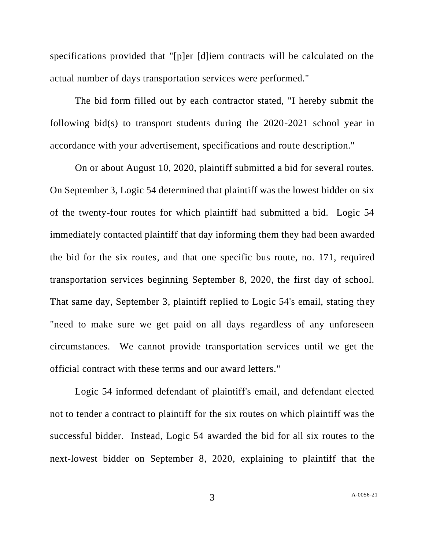specifications provided that "[p]er [d]iem contracts will be calculated on the actual number of days transportation services were performed."

The bid form filled out by each contractor stated, "I hereby submit the following bid(s) to transport students during the 2020-2021 school year in accordance with your advertisement, specifications and route description."

On or about August 10, 2020, plaintiff submitted a bid for several routes. On September 3, Logic 54 determined that plaintiff was the lowest bidder on six of the twenty-four routes for which plaintiff had submitted a bid. Logic 54 immediately contacted plaintiff that day informing them they had been awarded the bid for the six routes, and that one specific bus route, no. 171, required transportation services beginning September 8, 2020, the first day of school. That same day, September 3, plaintiff replied to Logic 54's email, stating they "need to make sure we get paid on all days regardless of any unforeseen circumstances. We cannot provide transportation services until we get the official contract with these terms and our award letters."

Logic 54 informed defendant of plaintiff's email, and defendant elected not to tender a contract to plaintiff for the six routes on which plaintiff was the successful bidder. Instead, Logic 54 awarded the bid for all six routes to the next-lowest bidder on September 8, 2020, explaining to plaintiff that the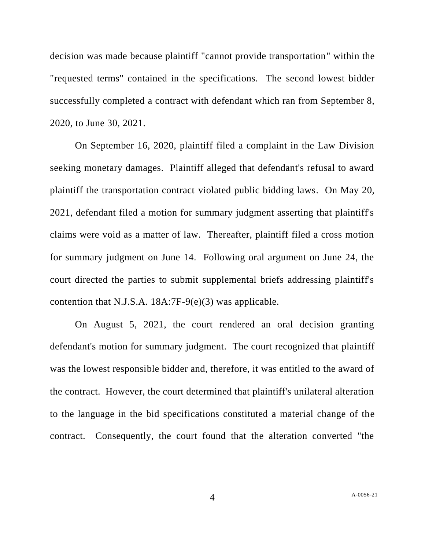decision was made because plaintiff "cannot provide transportation" within the "requested terms" contained in the specifications. The second lowest bidder successfully completed a contract with defendant which ran from September 8, 2020, to June 30, 2021.

On September 16, 2020, plaintiff filed a complaint in the Law Division seeking monetary damages. Plaintiff alleged that defendant's refusal to award plaintiff the transportation contract violated public bidding laws. On May 20, 2021, defendant filed a motion for summary judgment asserting that plaintiff's claims were void as a matter of law. Thereafter, plaintiff filed a cross motion for summary judgment on June 14. Following oral argument on June 24, the court directed the parties to submit supplemental briefs addressing plaintiff's contention that N.J.S.A. 18A:7F-9(e)(3) was applicable.

On August 5, 2021, the court rendered an oral decision granting defendant's motion for summary judgment. The court recognized that plaintiff was the lowest responsible bidder and, therefore, it was entitled to the award of the contract. However, the court determined that plaintiff's unilateral alteration to the language in the bid specifications constituted a material change of the contract. Consequently, the court found that the alteration converted "the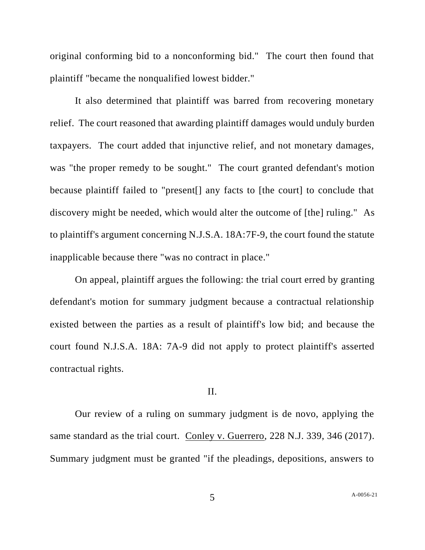original conforming bid to a nonconforming bid." The court then found that plaintiff "became the nonqualified lowest bidder."

It also determined that plaintiff was barred from recovering monetary relief. The court reasoned that awarding plaintiff damages would unduly burden taxpayers. The court added that injunctive relief, and not monetary damages, was "the proper remedy to be sought." The court granted defendant's motion because plaintiff failed to "present[] any facts to [the court] to conclude that discovery might be needed, which would alter the outcome of [the] ruling." As to plaintiff's argument concerning N.J.S.A. 18A:7F-9, the court found the statute inapplicable because there "was no contract in place."

On appeal, plaintiff argues the following: the trial court erred by granting defendant's motion for summary judgment because a contractual relationship existed between the parties as a result of plaintiff's low bid; and because the court found N.J.S.A. 18A: 7A-9 did not apply to protect plaintiff's asserted contractual rights.

## II.

Our review of a ruling on summary judgment is de novo, applying the same standard as the trial court. Conley v. Guerrero, 228 N.J. 339, 346 (2017). Summary judgment must be granted "if the pleadings, depositions, answers to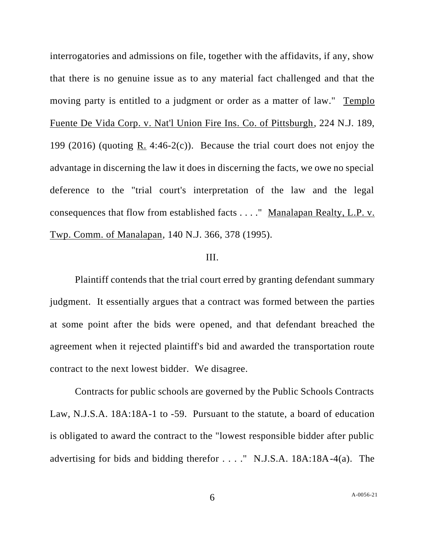interrogatories and admissions on file, together with the affidavits, if any, show that there is no genuine issue as to any material fact challenged and that the moving party is entitled to a judgment or order as a matter of law." Templo Fuente De Vida Corp. v. Nat'l Union Fire Ins. Co. of Pittsburgh, 224 N.J. 189, 199 (2016) (quoting R. 4:46-2(c)). Because the trial court does not enjoy the advantage in discerning the law it does in discerning the facts, we owe no special deference to the "trial court's interpretation of the law and the legal consequences that flow from established facts . . . ." Manalapan Realty, L.P. v. Twp. Comm. of Manalapan, 140 N.J. 366, 378 (1995).

## III.

Plaintiff contends that the trial court erred by granting defendant summary judgment. It essentially argues that a contract was formed between the parties at some point after the bids were opened, and that defendant breached the agreement when it rejected plaintiff's bid and awarded the transportation route contract to the next lowest bidder. We disagree.

Contracts for public schools are governed by the Public Schools Contracts Law, N.J.S.A. 18A:18A-1 to -59. Pursuant to the statute, a board of education is obligated to award the contract to the "lowest responsible bidder after public advertising for bids and bidding therefor . . . ." N.J.S.A. 18A:18A-4(a). The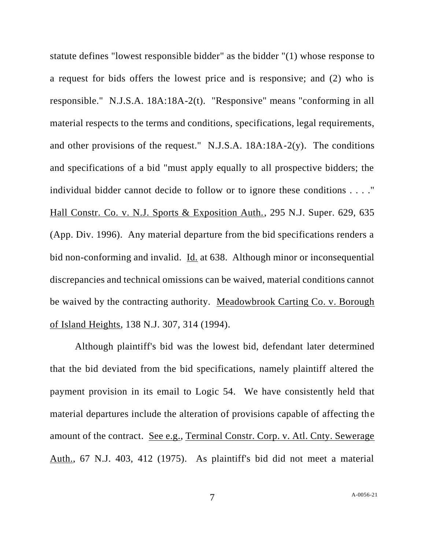statute defines "lowest responsible bidder" as the bidder "(1) whose response to a request for bids offers the lowest price and is responsive; and (2) who is responsible." N.J.S.A. 18A:18A-2(t). "Responsive" means "conforming in all material respects to the terms and conditions, specifications, legal requirements, and other provisions of the request." N.J.S.A. 18A:18A-2(y). The conditions and specifications of a bid "must apply equally to all prospective bidders; the individual bidder cannot decide to follow or to ignore these conditions . . . ." Hall Constr. Co. v. N.J. Sports & Exposition Auth., 295 N.J. Super. 629, 635 (App. Div. 1996). Any material departure from the bid specifications renders a bid non-conforming and invalid. Id. at 638. Although minor or inconsequential discrepancies and technical omissions can be waived, material conditions cannot be waived by the contracting authority. Meadowbrook Carting Co. v. Borough of Island Heights, 138 N.J. 307, 314 (1994).

Although plaintiff's bid was the lowest bid, defendant later determined that the bid deviated from the bid specifications, namely plaintiff altered the payment provision in its email to Logic 54. We have consistently held that material departures include the alteration of provisions capable of affecting the amount of the contract. See e.g., Terminal Constr. Corp. v. Atl. Cnty. Sewerage Auth., 67 N.J. 403, 412 (1975). As plaintiff's bid did not meet a material